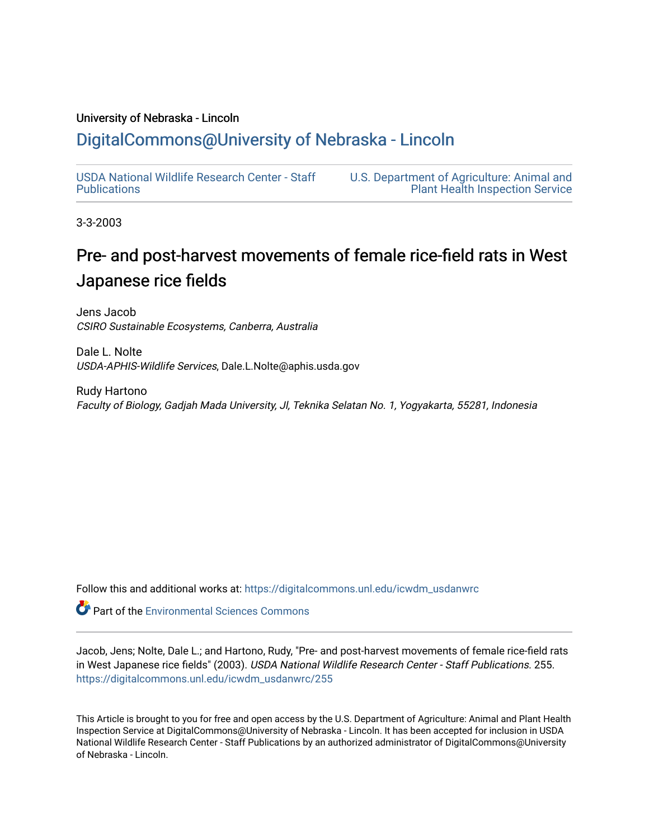# University of Nebraska - Lincoln

# [DigitalCommons@University of Nebraska - Lincoln](https://digitalcommons.unl.edu/)

[USDA National Wildlife Research Center - Staff](https://digitalcommons.unl.edu/icwdm_usdanwrc)  [Publications](https://digitalcommons.unl.edu/icwdm_usdanwrc) 

[U.S. Department of Agriculture: Animal and](https://digitalcommons.unl.edu/usdaaphis)  [Plant Health Inspection Service](https://digitalcommons.unl.edu/usdaaphis) 

3-3-2003

# Pre- and post-harvest movements of female rice-field rats in West Japanese rice fields

Jens Jacob CSIRO Sustainable Ecosystems, Canberra, Australia

Dale L. Nolte USDA-APHIS-Wildlife Services, Dale.L.Nolte@aphis.usda.gov

Rudy Hartono Faculty of Biology, Gadjah Mada University, Jl, Teknika Selatan No. 1, Yogyakarta, 55281, Indonesia

Follow this and additional works at: [https://digitalcommons.unl.edu/icwdm\\_usdanwrc](https://digitalcommons.unl.edu/icwdm_usdanwrc?utm_source=digitalcommons.unl.edu%2Ficwdm_usdanwrc%2F255&utm_medium=PDF&utm_campaign=PDFCoverPages)

**C** Part of the [Environmental Sciences Commons](http://network.bepress.com/hgg/discipline/167?utm_source=digitalcommons.unl.edu%2Ficwdm_usdanwrc%2F255&utm_medium=PDF&utm_campaign=PDFCoverPages)

Jacob, Jens; Nolte, Dale L.; and Hartono, Rudy, "Pre- and post-harvest movements of female rice-field rats in West Japanese rice fields" (2003). USDA National Wildlife Research Center - Staff Publications. 255. [https://digitalcommons.unl.edu/icwdm\\_usdanwrc/255](https://digitalcommons.unl.edu/icwdm_usdanwrc/255?utm_source=digitalcommons.unl.edu%2Ficwdm_usdanwrc%2F255&utm_medium=PDF&utm_campaign=PDFCoverPages)

This Article is brought to you for free and open access by the U.S. Department of Agriculture: Animal and Plant Health Inspection Service at DigitalCommons@University of Nebraska - Lincoln. It has been accepted for inclusion in USDA National Wildlife Research Center - Staff Publications by an authorized administrator of DigitalCommons@University of Nebraska - Lincoln.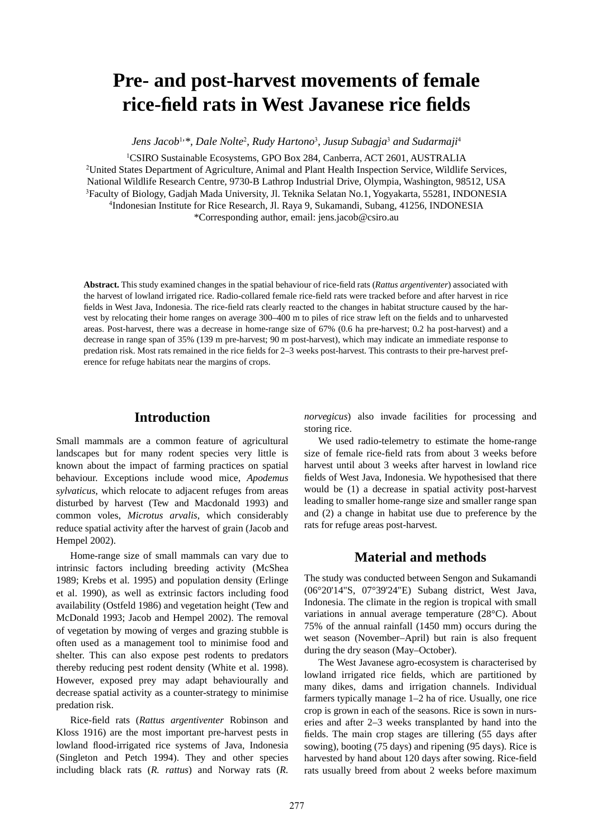# **Pre- and post-harvest movements of female rice-field rats in West Javanese rice fields**

*Jens Jacob*1*, \*, Dale Nolte*2*, Rudy Hartono*3*, Jusup Subagja*3 *and Sudarmaji*<sup>4</sup>

CSIRO Sustainable Ecosystems, GPO Box 284, Canberra, ACT 2601, AUSTRALIA United States Department of Agriculture, Animal and Plant Health Inspection Service, Wildlife Services, National Wildlife Research Centre, 9730-B Lathrop Industrial Drive, Olympia, Washington, 98512, USA Faculty of Biology, Gadjah Mada University, Jl. Teknika Selatan No.1, Yogyakarta, 55281, INDONESIA Indonesian Institute for Rice Research, Jl. Raya 9, Sukamandi, Subang, 41256, INDONESIA \*Corresponding author, email: jens.jacob@csiro.au

**Abstract.** This study examined changes in the spatial behaviour of rice-field rats (*Rattus argentiventer*) associated with the harvest of lowland irrigated rice. Radio-collared female rice-field rats were tracked before and after harvest in rice fields in West Java, Indonesia. The rice-field rats clearly reacted to the changes in habitat structure caused by the harvest by relocating their home ranges on average 300–400 m to piles of rice straw left on the fields and to unharvested areas. Post-harvest, there was a decrease in home-range size of 67% (0.6 ha pre-harvest; 0.2 ha post-harvest) and a decrease in range span of 35% (139 m pre-harvest; 90 m post-harvest), which may indicate an immediate response to predation risk. Most rats remained in the rice fields for 2–3 weeks post-harvest. This contrasts to their pre-harvest preference for refuge habitats near the margins of crops.

# **Introduction**

Small mammals are a common feature of agricultural landscapes but for many rodent species very little is known about the impact of farming practices on spatial behaviour. Exceptions include wood mice, *Apodemus sylvaticus*, which relocate to adjacent refuges from areas disturbed by harvest (Tew and Macdonald 1993) and common voles, *Microtus arvalis*, which considerably reduce spatial activity after the harvest of grain (Jacob and Hempel 2002).

Home-range size of small mammals can vary due to intrinsic factors including breeding activity (McShea 1989; Krebs et al. 1995) and population density (Erlinge et al. 1990), as well as extrinsic factors including food availability (Ostfeld 1986) and vegetation height (Tew and McDonald 1993; Jacob and Hempel 2002). The removal of vegetation by mowing of verges and grazing stubble is often used as a management tool to minimise food and shelter. This can also expose pest rodents to predators thereby reducing pest rodent density (White et al. 1998). However, exposed prey may adapt behaviourally and decrease spatial activity as a counter-strategy to minimise predation risk.

Rice-field rats (*Rattus argentiventer* Robinson and Kloss 1916) are the most important pre-harvest pests in lowland flood-irrigated rice systems of Java, Indonesia (Singleton and Petch 1994). They and other species including black rats (*R. rattus*) and Norway rats (*R.*

*norvegicus*) also invade facilities for processing and storing rice.

We used radio-telemetry to estimate the home-range size of female rice-field rats from about 3 weeks before harvest until about 3 weeks after harvest in lowland rice fields of West Java, Indonesia. We hypothesised that there would be (1) a decrease in spatial activity post-harvest leading to smaller home-range size and smaller range span and (2) a change in habitat use due to preference by the rats for refuge areas post-harvest.

## **Material and methods**

The study was conducted between Sengon and Sukamandi (06°20'14"S, 07°39'24"E) Subang district, West Java, Indonesia. The climate in the region is tropical with small variations in annual average temperature (28°C). About 75% of the annual rainfall (1450 mm) occurs during the wet season (November–April) but rain is also frequent during the dry season (May–October).

The West Javanese agro-ecosystem is characterised by lowland irrigated rice fields, which are partitioned by many dikes, dams and irrigation channels. Individual farmers typically manage 1–2 ha of rice. Usually, one rice crop is grown in each of the seasons. Rice is sown in nurseries and after 2–3 weeks transplanted by hand into the fields. The main crop stages are tillering (55 days after sowing), booting (75 days) and ripening (95 days). Rice is harvested by hand about 120 days after sowing. Rice-field rats usually breed from about 2 weeks before maximum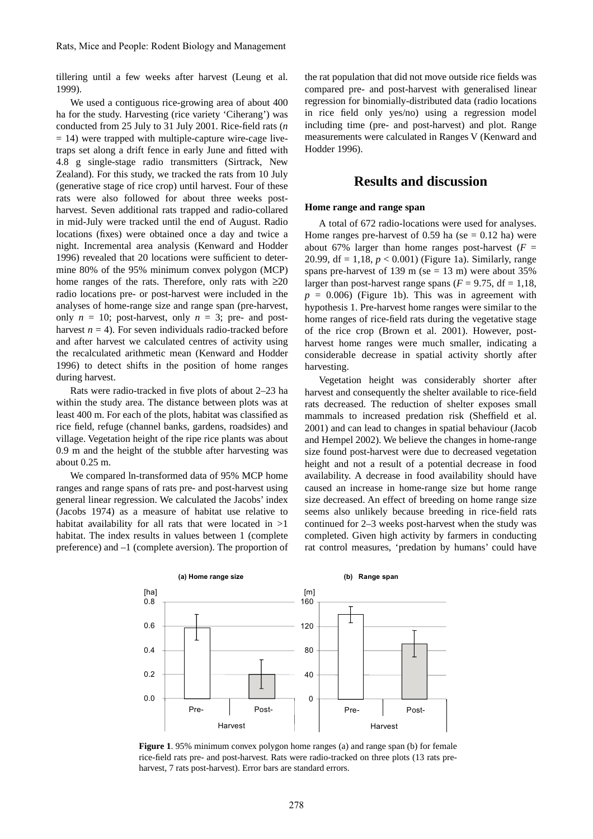tillering until a few weeks after harvest (Leung et al. 1999).

We used a contiguous rice-growing area of about 400 ha for the study. Harvesting (rice variety 'Ciherang') was conducted from 25 July to 31 July 2001. Rice-field rats (*n*  $= 14$ ) were trapped with multiple-capture wire-cage livetraps set along a drift fence in early June and fitted with 4.8 g single-stage radio transmitters (Sirtrack, New Zealand). For this study, we tracked the rats from 10 July (generative stage of rice crop) until harvest. Four of these rats were also followed for about three weeks postharvest. Seven additional rats trapped and radio-collared in mid-July were tracked until the end of August. Radio locations (fixes) were obtained once a day and twice a night. Incremental area analysis (Kenward and Hodder 1996) revealed that 20 locations were sufficient to determine 80% of the 95% minimum convex polygon (MCP) home ranges of the rats. Therefore, only rats with  $\geq 20$ radio locations pre- or post-harvest were included in the analyses of home-range size and range span (pre-harvest, only  $n = 10$ ; post-harvest, only  $n = 3$ ; pre- and postharvest  $n = 4$ ). For seven individuals radio-tracked before and after harvest we calculated centres of activity using the recalculated arithmetic mean (Kenward and Hodder 1996) to detect shifts in the position of home ranges during harvest.

Rats were radio-tracked in five plots of about 2–23 ha within the study area. The distance between plots was at least 400 m. For each of the plots, habitat was classified as rice field, refuge (channel banks, gardens, roadsides) and village. Vegetation height of the ripe rice plants was about 0.9 m and the height of the stubble after harvesting was about 0.25 m.

We compared ln-transformed data of 95% MCP home ranges and range spans of rats pre- and post-harvest using general linear regression. We calculated the Jacobs' index (Jacobs 1974) as a measure of habitat use relative to habitat availability for all rats that were located in  $>1$ habitat. The index results in values between 1 (complete preference) and –1 (complete aversion). The proportion of the rat population that did not move outside rice fields was compared pre- and post-harvest with generalised linear regression for binomially-distributed data (radio locations in rice field only yes/no) using a regression model including time (pre- and post-harvest) and plot. Range measurements were calculated in Ranges V (Kenward and Hodder 1996).

## **Results and discussion**

#### **Home range and range span**

A total of 672 radio-locations were used for analyses. Home ranges pre-harvest of  $0.59$  ha (se =  $0.12$  ha) were about 67% larger than home ranges post-harvest  $(F =$ 20.99, df = 1,18,  $p < 0.001$ ) (Figure 1a). Similarly, range spans pre-harvest of 139 m (se  $= 13$  m) were about 35% larger than post-harvest range spans ( $F = 9.75$ , df = 1,18,  $p = 0.006$ ) (Figure 1b). This was in agreement with hypothesis 1. Pre-harvest home ranges were similar to the home ranges of rice-field rats during the vegetative stage of the rice crop (Brown et al. 2001). However, postharvest home ranges were much smaller, indicating a considerable decrease in spatial activity shortly after harvesting.

Vegetation height was considerably shorter after harvest and consequently the shelter available to rice-field rats decreased. The reduction of shelter exposes small mammals to increased predation risk (Sheffield et al. 2001) and can lead to changes in spatial behaviour (Jacob and Hempel 2002). We believe the changes in home-range size found post-harvest were due to decreased vegetation height and not a result of a potential decrease in food availability. A decrease in food availability should have caused an increase in home-range size but home range size decreased. An effect of breeding on home range size seems also unlikely because breeding in rice-field rats continued for 2–3 weeks post-harvest when the study was completed. Given high activity by farmers in conducting rat control measures, 'predation by humans' could have



**Figure 1**. 95% minimum convex polygon home ranges (a) and range span (b) for female rice-field rats pre- and post-harvest. Rats were radio-tracked on three plots (13 rats preharvest, 7 rats post-harvest). Error bars are standard errors.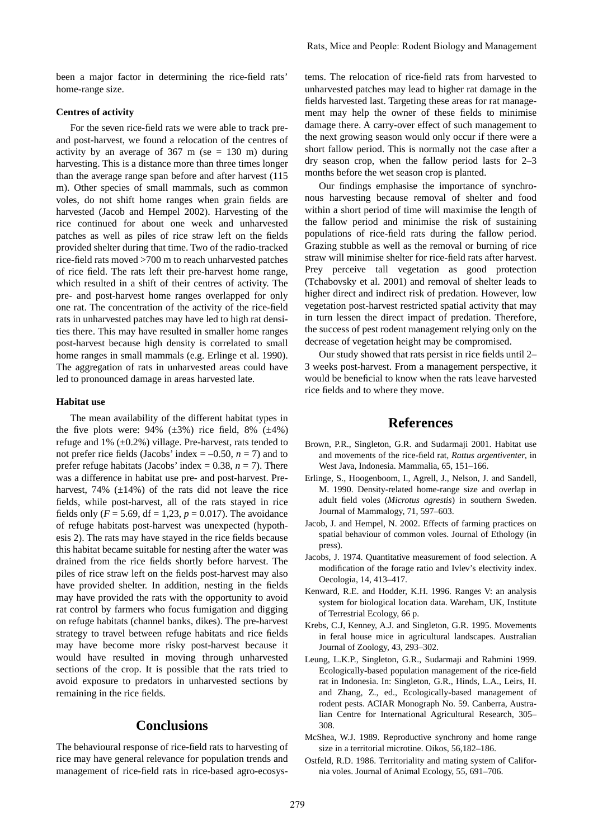been a major factor in determining the rice-field rats' home-range size.

#### **Centres of activity**

For the seven rice-field rats we were able to track preand post-harvest, we found a relocation of the centres of activity by an average of  $367$  m (se = 130 m) during harvesting. This is a distance more than three times longer than the average range span before and after harvest (115 m). Other species of small mammals, such as common voles, do not shift home ranges when grain fields are harvested (Jacob and Hempel 2002). Harvesting of the rice continued for about one week and unharvested patches as well as piles of rice straw left on the fields provided shelter during that time. Two of the radio-tracked rice-field rats moved >700 m to reach unharvested patches of rice field. The rats left their pre-harvest home range, which resulted in a shift of their centres of activity. The pre- and post-harvest home ranges overlapped for only one rat. The concentration of the activity of the rice-field rats in unharvested patches may have led to high rat densities there. This may have resulted in smaller home ranges post-harvest because high density is correlated to small home ranges in small mammals (e.g. Erlinge et al. 1990). The aggregation of rats in unharvested areas could have led to pronounced damage in areas harvested late.

#### **Habitat use**

The mean availability of the different habitat types in the five plots were:  $94\%$  ( $\pm 3\%$ ) rice field,  $8\%$  ( $\pm 4\%$ ) refuge and  $1\%$  ( $\pm 0.2\%$ ) village. Pre-harvest, rats tended to not prefer rice fields (Jacobs' index  $= -0.50$ ,  $n = 7$ ) and to prefer refuge habitats (Jacobs' index  $= 0.38$ ,  $n = 7$ ). There was a difference in habitat use pre- and post-harvest. Preharvest, 74%  $(\pm 14\%)$  of the rats did not leave the rice fields, while post-harvest, all of the rats stayed in rice fields only ( $F = 5.69$ , df = 1,23,  $p = 0.017$ ). The avoidance of refuge habitats post-harvest was unexpected (hypothesis 2). The rats may have stayed in the rice fields because this habitat became suitable for nesting after the water was drained from the rice fields shortly before harvest. The piles of rice straw left on the fields post-harvest may also have provided shelter. In addition, nesting in the fields may have provided the rats with the opportunity to avoid rat control by farmers who focus fumigation and digging on refuge habitats (channel banks, dikes). The pre-harvest strategy to travel between refuge habitats and rice fields may have become more risky post-harvest because it would have resulted in moving through unharvested sections of the crop. It is possible that the rats tried to avoid exposure to predators in unharvested sections by remaining in the rice fields.

# **Conclusions**

The behavioural response of rice-field rats to harvesting of rice may have general relevance for population trends and management of rice-field rats in rice-based agro-ecosystems. The relocation of rice-field rats from harvested to unharvested patches may lead to higher rat damage in the fields harvested last. Targeting these areas for rat management may help the owner of these fields to minimise damage there. A carry-over effect of such management to the next growing season would only occur if there were a short fallow period. This is normally not the case after a dry season crop, when the fallow period lasts for 2–3 months before the wet season crop is planted.

Our findings emphasise the importance of synchronous harvesting because removal of shelter and food within a short period of time will maximise the length of the fallow period and minimise the risk of sustaining populations of rice-field rats during the fallow period. Grazing stubble as well as the removal or burning of rice straw will minimise shelter for rice-field rats after harvest. Prey perceive tall vegetation as good protection (Tchabovsky et al. 2001) and removal of shelter leads to higher direct and indirect risk of predation. However, low vegetation post-harvest restricted spatial activity that may in turn lessen the direct impact of predation. Therefore, the success of pest rodent management relying only on the decrease of vegetation height may be compromised.

Our study showed that rats persist in rice fields until 2– 3 weeks post-harvest. From a management perspective, it would be beneficial to know when the rats leave harvested rice fields and to where they move.

# **References**

- Brown, P.R., Singleton, G.R. and Sudarmaji 2001. Habitat use and movements of the rice-field rat, *Rattus argentiventer*, in West Java, Indonesia. Mammalia, 65, 151–166.
- Erlinge, S., Hoogenboom, I., Agrell, J., Nelson, J. and Sandell, M. 1990. Density-related home-range size and overlap in adult field voles (*Microtus agrestis*) in southern Sweden. Journal of Mammalogy, 71, 597–603.
- Jacob, J. and Hempel, N. 2002. Effects of farming practices on spatial behaviour of common voles. Journal of Ethology (in press).
- Jacobs, J. 1974. Quantitative measurement of food selection. A modification of the forage ratio and Ivlev's electivity index. Oecologia, 14, 413–417.
- Kenward, R.E. and Hodder, K.H. 1996. Ranges V: an analysis system for biological location data. Wareham, UK, Institute of Terrestrial Ecology, 66 p.
- Krebs, C.J, Kenney, A.J. and Singleton, G.R. 1995. Movements in feral house mice in agricultural landscapes. Australian Journal of Zoology, 43, 293–302.
- Leung, L.K.P., Singleton, G.R., Sudarmaji and Rahmini 1999. Ecologically-based population management of the rice-field rat in Indonesia. In: Singleton, G.R., Hinds, L.A., Leirs, H. and Zhang, Z., ed., Ecologically-based management of rodent pests. ACIAR Monograph No. 59. Canberra, Australian Centre for International Agricultural Research, 305– 308.
- McShea, W.J. 1989. Reproductive synchrony and home range size in a territorial microtine. Oikos, 56,182–186.
- Ostfeld, R.D. 1986. Territoriality and mating system of California voles. Journal of Animal Ecology, 55, 691–706.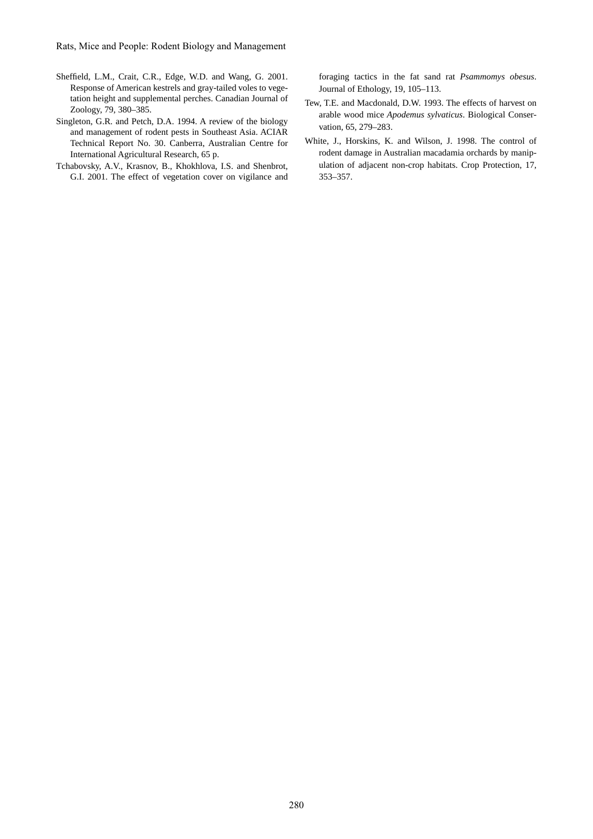- Sheffield, L.M., Crait, C.R., Edge, W.D. and Wang, G. 2001. Response of American kestrels and gray-tailed voles to vegetation height and supplemental perches. Canadian Journal of Zoology, 79, 380–385.
- Singleton, G.R. and Petch, D.A. 1994. A review of the biology and management of rodent pests in Southeast Asia. ACIAR Technical Report No. 30. Canberra, Australian Centre for International Agricultural Research, 65 p.
- Tchabovsky, A.V., Krasnov, B., Khokhlova, I.S. and Shenbrot, G.I. 2001. The effect of vegetation cover on vigilance and

foraging tactics in the fat sand rat *Psammomys obesus*. Journal of Ethology, 19, 105–113.

- Tew, T.E. and Macdonald, D.W. 1993. The effects of harvest on arable wood mice *Apodemus sylvaticus*. Biological Conservation, 65, 279–283.
- White, J., Horskins, K. and Wilson, J. 1998. The control of rodent damage in Australian macadamia orchards by manipulation of adjacent non-crop habitats. Crop Protection, 17, 353–357.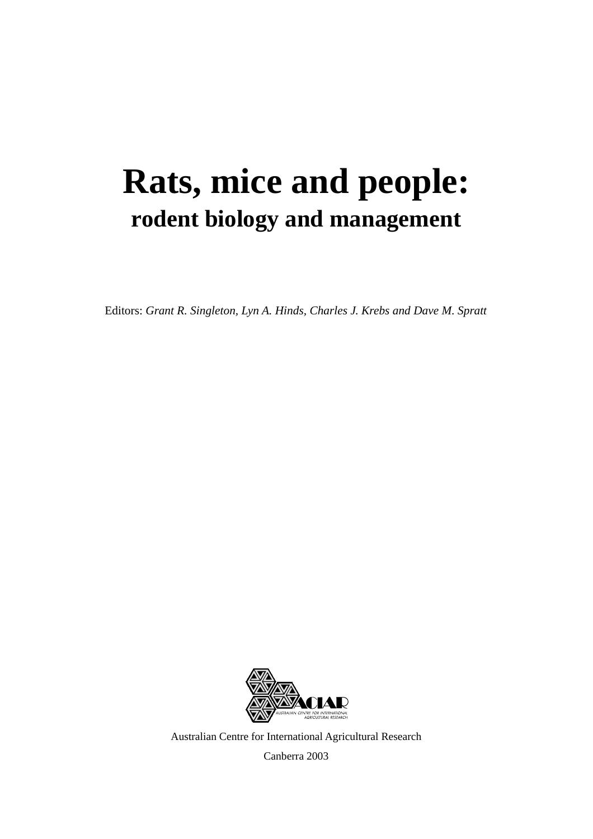# **Rats, mice and people: rodent biology and management**

Editors: *Grant R. Singleton, Lyn A. Hinds, Charles J. Krebs and Dave M. Spratt*



Australian Centre for International Agricultural Research Canberra 2003